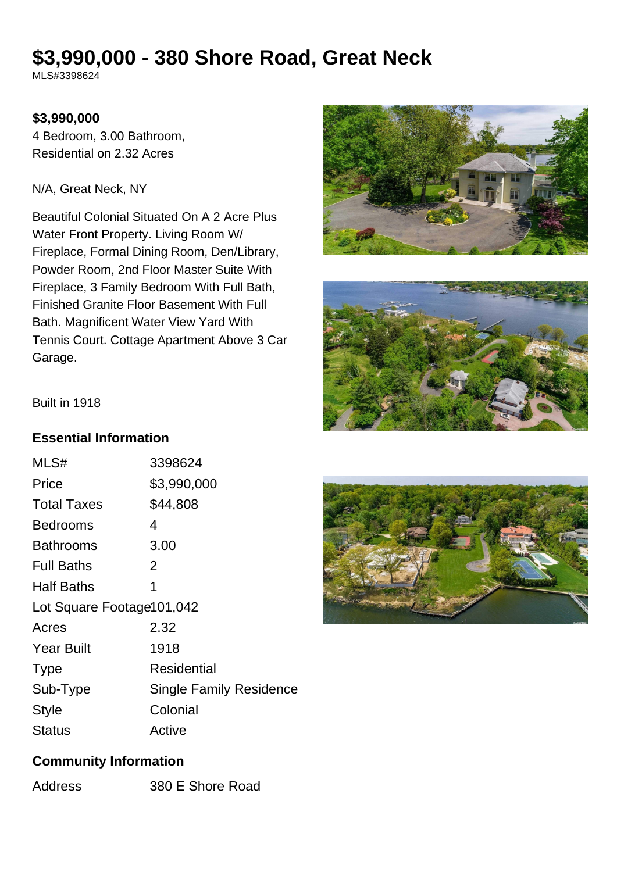# **\$3,990,000 - 380 Shore Road, Great Neck**

MLS#3398624

#### **\$3,990,000**

4 Bedroom, 3.00 Bathroom, Residential on 2.32 Acres

N/A, Great Neck, NY

Beautiful Colonial Situated On A 2 Acre Plus Water Front Property. Living Room W/ Fireplace, Formal Dining Room, Den/Library, Powder Room, 2nd Floor Master Suite With Fireplace, 3 Family Bedroom With Full Bath, Finished Granite Floor Basement With Full Bath. Magnificent Water View Yard With Tennis Court. Cottage Apartment Above 3 Car Garage.





Built in 1918

#### **Essential Information**

| MLS#                       | 3398624                        |  |
|----------------------------|--------------------------------|--|
| Price                      | \$3,990,000                    |  |
| <b>Total Taxes</b>         | \$44,808                       |  |
| Bedrooms                   | 4                              |  |
| <b>Bathrooms</b>           | 3.00                           |  |
| <b>Full Baths</b>          | 2                              |  |
| <b>Half Baths</b>          | 1                              |  |
| Lot Square Footage 101,042 |                                |  |
| Acres                      | 2.32                           |  |
| <b>Year Built</b>          | 1918                           |  |
| <b>Type</b>                | Residential                    |  |
| Sub-Type                   | <b>Single Family Residence</b> |  |
| <b>Style</b>               | Colonial                       |  |
| Status                     | Active                         |  |



### **Community Information**

Address 380 E Shore Road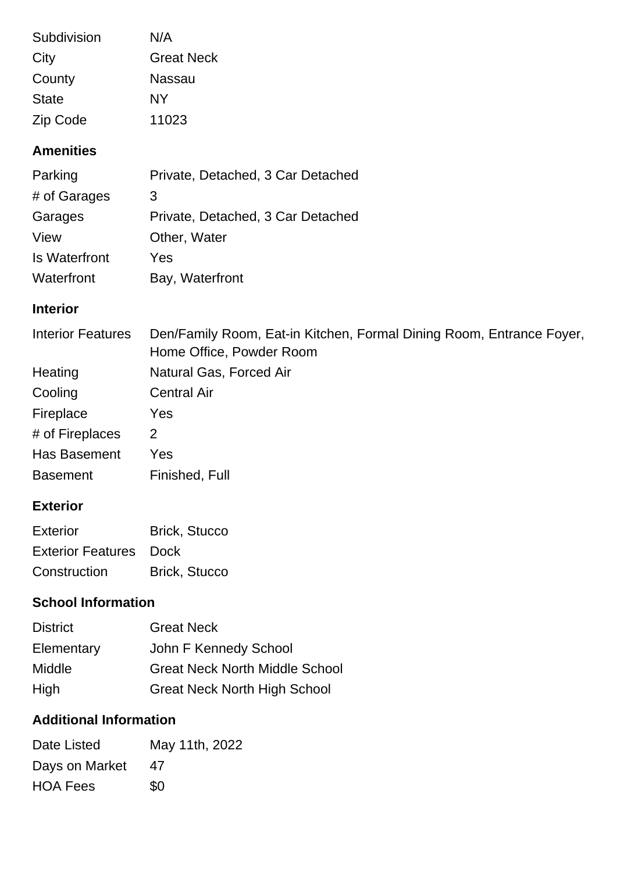| Subdivision  | N/A               |
|--------------|-------------------|
| City         | <b>Great Neck</b> |
| County       | Nassau            |
| <b>State</b> | NΥ                |
| Zip Code     | 11023             |

# **Amenities**

| Parking       | Private, Detached, 3 Car Detached |
|---------------|-----------------------------------|
| # of Garages  | 3                                 |
| Garages       | Private, Detached, 3 Car Detached |
| View          | Other, Water                      |
| Is Waterfront | Yes                               |
| Waterfront    | Bay, Waterfront                   |

## **Interior**

| <b>Interior Features</b> | Den/Family Room, Eat-in Kitchen, Formal Dining Room, Entrance Foyer,<br>Home Office, Powder Room |
|--------------------------|--------------------------------------------------------------------------------------------------|
| Heating                  | Natural Gas, Forced Air                                                                          |
| Cooling                  | <b>Central Air</b>                                                                               |
| Fireplace                | Yes                                                                                              |
| # of Fireplaces          | 2                                                                                                |
| Has Basement             | Yes                                                                                              |
| <b>Basement</b>          | Finished, Full                                                                                   |

## **Exterior**

| Exterior                      | <b>Brick, Stucco</b> |
|-------------------------------|----------------------|
| <b>Exterior Features</b> Dock |                      |
| Construction                  | <b>Brick, Stucco</b> |

# **School Information**

| <b>District</b> | <b>Great Neck</b>                     |
|-----------------|---------------------------------------|
| Elementary      | John F Kennedy School                 |
| <b>Middle</b>   | <b>Great Neck North Middle School</b> |
| High            | <b>Great Neck North High School</b>   |

# **Additional Information**

| Date Listed     | May 11th, 2022 |
|-----------------|----------------|
| Days on Market  | 47             |
| <b>HOA Fees</b> | \$0            |